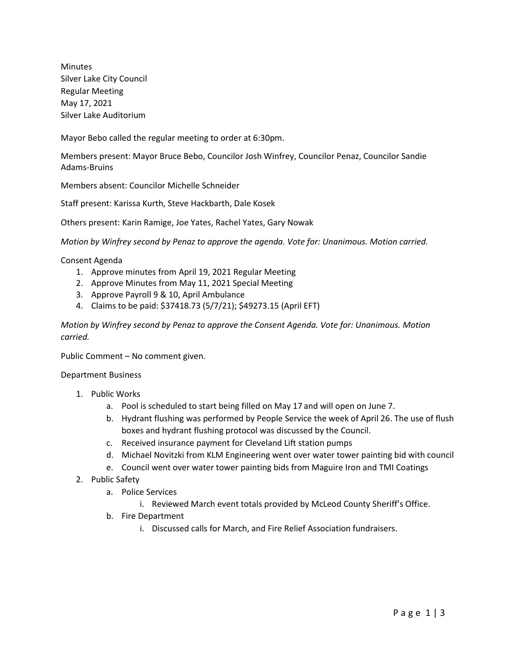Minutes Silver Lake City Council Regular Meeting May 17, 2021 Silver Lake Auditorium

Mayor Bebo called the regular meeting to order at 6:30pm.

Members present: Mayor Bruce Bebo, Councilor Josh Winfrey, Councilor Penaz, Councilor Sandie Adams-Bruins

Members absent: Councilor Michelle Schneider

Staff present: Karissa Kurth, Steve Hackbarth, Dale Kosek

Others present: Karin Ramige, Joe Yates, Rachel Yates, Gary Nowak

*Motion by Winfrey second by Penaz to approve the agenda. Vote for: Unanimous. Motion carried.*

## Consent Agenda

- 1. Approve minutes from April 19, 2021 Regular Meeting
- 2. Approve Minutes from May 11, 2021 Special Meeting
- 3. Approve Payroll 9 & 10, April Ambulance
- 4. Claims to be paid: \$37418.73 (5/7/21); \$49273.15 (April EFT)

*Motion by Winfrey second by Penaz to approve the Consent Agenda. Vote for: Unanimous. Motion carried.*

Public Comment – No comment given.

## Department Business

- 1. Public Works
	- a. Pool is scheduled to start being filled on May 17 and will open on June 7.
	- b. Hydrant flushing was performed by People Service the week of April 26. The use of flush boxes and hydrant flushing protocol was discussed by the Council.
	- c. Received insurance payment for Cleveland Lift station pumps
	- d. Michael Novitzki from KLM Engineering went over water tower painting bid with council
	- e. Council went over water tower painting bids from Maguire Iron and TMI Coatings
- 2. Public Safety
	- a. Police Services
		- i. Reviewed March event totals provided by McLeod County Sheriff's Office.
	- b. Fire Department
		- i. Discussed calls for March, and Fire Relief Association fundraisers.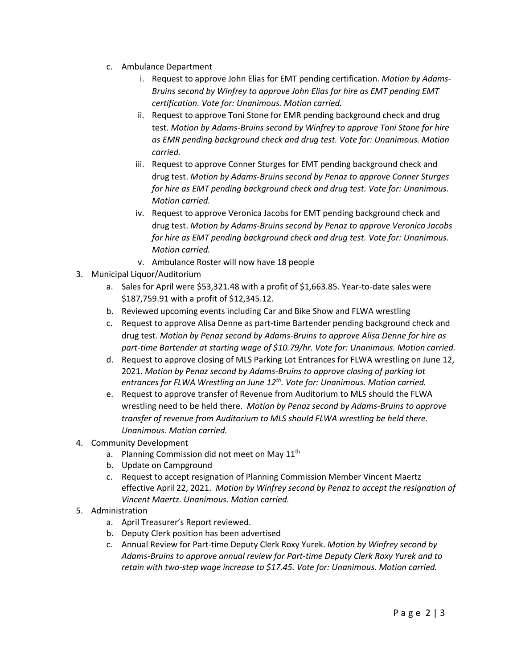- c. Ambulance Department
	- i. Request to approve John Elias for EMT pending certification. *Motion by Adams-Bruins second by Winfrey to approve John Elias for hire as EMT pending EMT certification. Vote for: Unanimous. Motion carried.*
	- ii. Request to approve Toni Stone for EMR pending background check and drug test. *Motion by Adams-Bruins second by Winfrey to approve Toni Stone for hire as EMR pending background check and drug test. Vote for: Unanimous. Motion carried.*
	- iii. Request to approve Conner Sturges for EMT pending background check and drug test. *Motion by Adams-Bruins second by Penaz to approve Conner Sturges for hire as EMT pending background check and drug test. Vote for: Unanimous. Motion carried.*
	- iv. Request to approve Veronica Jacobs for EMT pending background check and drug test. *Motion by Adams-Bruins second by Penaz to approve Veronica Jacobs for hire as EMT pending background check and drug test. Vote for: Unanimous. Motion carried.*
	- v. Ambulance Roster will now have 18 people
- 3. Municipal Liquor/Auditorium
	- a. Sales for April were \$53,321.48 with a profit of \$1,663.85. Year-to-date sales were \$187,759.91 with a profit of \$12,345.12.
	- b. Reviewed upcoming events including Car and Bike Show and FLWA wrestling
	- c. Request to approve Alisa Denne as part-time Bartender pending background check and drug test. *Motion by Penaz second by Adams-Bruins to approve Alisa Denne for hire as part-time Bartender at starting wage of \$10.79/hr. Vote for: Unanimous. Motion carried.*
	- d. Request to approve closing of MLS Parking Lot Entrances for FLWA wrestling on June 12, 2021. *Motion by Penaz second by Adams-Bruins to approve closing of parking lot entrances for FLWA Wrestling on June 12th. Vote for: Unanimous. Motion carried.*
	- e. Request to approve transfer of Revenue from Auditorium to MLS should the FLWA wrestling need to be held there. *Motion by Penaz second by Adams-Bruins to approve transfer of revenue from Auditorium to MLS should FLWA wrestling be held there. Unanimous. Motion carried.*
- 4. Community Development
	- a. Planning Commission did not meet on May 11<sup>th</sup>
	- b. Update on Campground
	- c. Request to accept resignation of Planning Commission Member Vincent Maertz effective April 22, 2021. *Motion by Winfrey second by Penaz to accept the resignation of Vincent Maertz. Unanimous. Motion carried.*
- 5. Administration
	- a. April Treasurer's Report reviewed.
	- b. Deputy Clerk position has been advertised
	- c. Annual Review for Part-time Deputy Clerk Roxy Yurek. *Motion by Winfrey second by Adams-Bruins to approve annual review for Part-time Deputy Clerk Roxy Yurek and to retain with two-step wage increase to \$17.45. Vote for: Unanimous. Motion carried.*